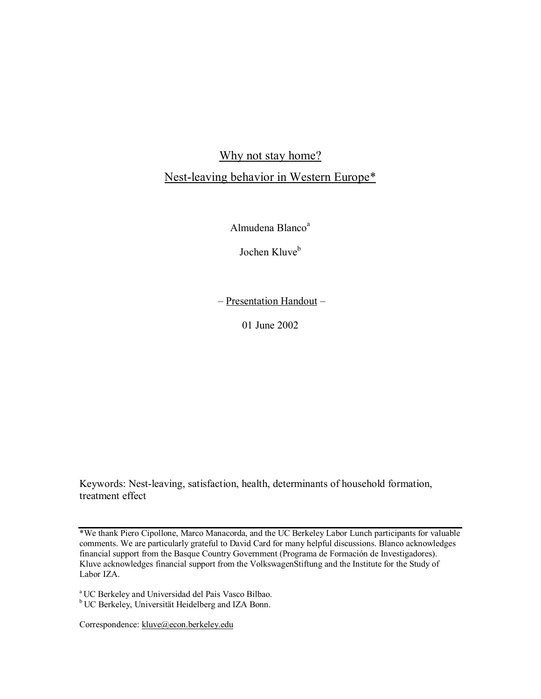Why not stay home?

# Nest-leaving behavior in Western Europe\*

Almudena Blanco<sup>a</sup>

Jochen Kluve<sup>b</sup>

– Presentation Handout –

01 June 2002

Keywords: Nest-leaving, satisfaction, health, determinants of household formation, treatment effect

\*We thank Piero Cipollone, Marco Manacorda, and the UC Berkeley Labor Lunch participants for valuable comments. We are particularly grateful to David Card for many helpful discussions. Blanco acknowledges financial support from the Basque Country Government (Programa de Formación de Investigadores). Kluve acknowledges financial support from the VolkswagenStiftung and the Institute for the Study of Labor IZA.

a UC Berkeley and Universidad del Pais Vasco Bilbao.

<sup>b</sup> UC Berkeley, Universität Heidelberg and IZA Bonn.

Correspondence: kluve@econ.berkeley.edu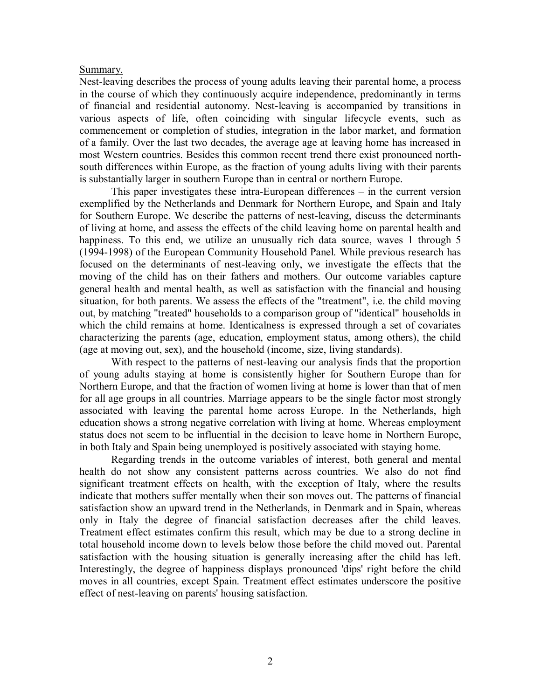## Summary.

Nest-leaving describes the process of young adults leaving their parental home, a process in the course of which they continuously acquire independence, predominantly in terms of financial and residential autonomy. Nest-leaving is accompanied by transitions in various aspects of life, often coinciding with singular lifecycle events, such as commencement or completion of studies, integration in the labor market, and formation of a family. Over the last two decades, the average age at leaving home has increased in most Western countries. Besides this common recent trend there exist pronounced northsouth differences within Europe, as the fraction of young adults living with their parents is substantially larger in southern Europe than in central or northern Europe.

This paper investigates these intra-European differences – in the current version exemplified by the Netherlands and Denmark for Northern Europe, and Spain and Italy for Southern Europe. We describe the patterns of nest-leaving, discuss the determinants of living at home, and assess the effects of the child leaving home on parental health and happiness. To this end, we utilize an unusually rich data source, waves 1 through 5 (1994-1998) of the European Community Household Panel. While previous research has focused on the determinants of nest-leaving only, we investigate the effects that the moving of the child has on their fathers and mothers. Our outcome variables capture general health and mental health, as well as satisfaction with the financial and housing situation, for both parents. We assess the effects of the "treatment", i.e. the child moving out, by matching "treated" households to a comparison group of "identical" households in which the child remains at home. Identicalness is expressed through a set of covariates characterizing the parents (age, education, employment status, among others), the child (age at moving out, sex), and the household (income, size, living standards).

With respect to the patterns of nest-leaving our analysis finds that the proportion of young adults staying at home is consistently higher for Southern Europe than for Northern Europe, and that the fraction of women living at home is lower than that of men for all age groups in all countries. Marriage appears to be the single factor most strongly associated with leaving the parental home across Europe. In the Netherlands, high education shows a strong negative correlation with living at home. Whereas employment status does not seem to be influential in the decision to leave home in Northern Europe, in both Italy and Spain being unemployed is positively associated with staying home.

Regarding trends in the outcome variables of interest, both general and mental health do not show any consistent patterns across countries. We also do not find significant treatment effects on health, with the exception of Italy, where the results indicate that mothers suffer mentally when their son moves out. The patterns of financial satisfaction show an upward trend in the Netherlands, in Denmark and in Spain, whereas only in Italy the degree of financial satisfaction decreases after the child leaves. Treatment effect estimates confirm this result, which may be due to a strong decline in total household income down to levels below those before the child moved out. Parental satisfaction with the housing situation is generally increasing after the child has left. Interestingly, the degree of happiness displays pronounced 'dips' right before the child moves in all countries, except Spain. Treatment effect estimates underscore the positive effect of nest-leaving on parents' housing satisfaction.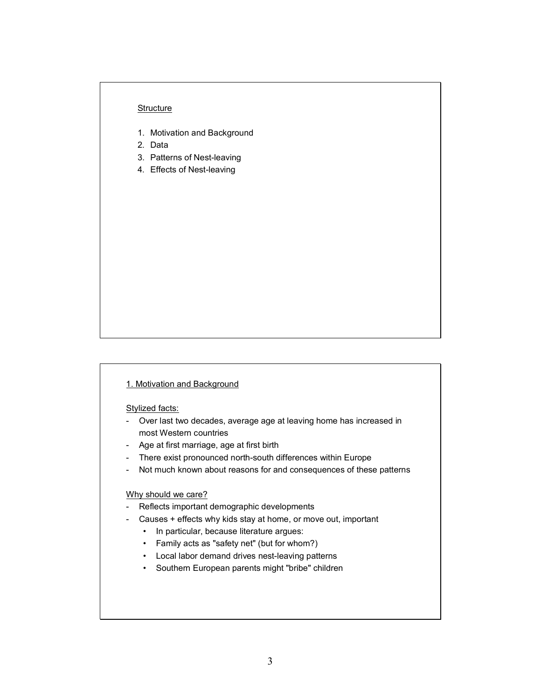#### **Structure**

- 1. Motivation and Background
- 2. Data
- 3. Patterns of Nest-leaving
- 4. Effects of Nest-leaving

#### 1. Motivation and Background

Stylized facts:

- Over last two decades, average age at leaving home has increased in most Western countries
- Age at first marriage, age at first birth
- There exist pronounced north-south differences within Europe
- Not much known about reasons for and consequences of these patterns

## Why should we care?

- Reflects important demographic developments
- Causes + effects why kids stay at home, or move out, important
	- In particular, because literature argues:
	- Family acts as "safety net" (but for whom?)
	- Local labor demand drives nest-leaving patterns
	- Southern European parents might "bribe" children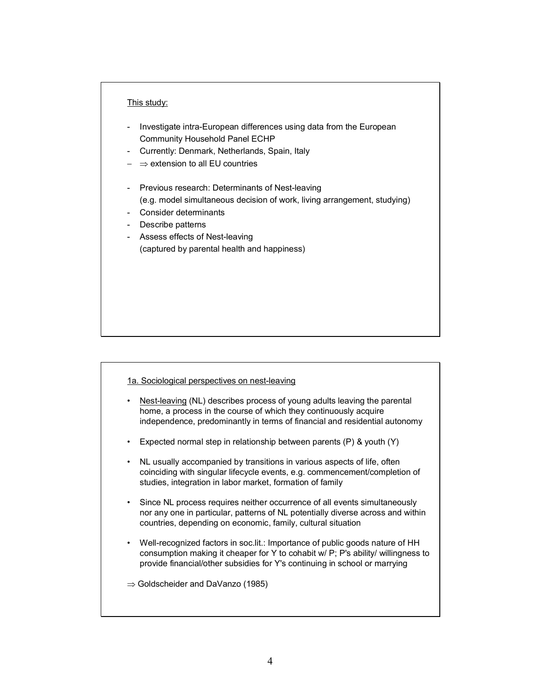## This study:

- Investigate intra-European differences using data from the European Community Household Panel ECHP
- Currently: Denmark, Netherlands, Spain, Italy
- ⇒ extension to all EU countries
- Previous research: Determinants of Nest-leaving (e.g. model simultaneous decision of work, living arrangement, studying)
- Consider determinants
- Describe patterns
- Assess effects of Nest-leaving (captured by parental health and happiness)

#### 1a. Sociological perspectives on nest-leaving

- Nest-leaving (NL) describes process of young adults leaving the parental home, a process in the course of which they continuously acquire independence, predominantly in terms of financial and residential autonomy
- Expected normal step in relationship between parents (P) & youth (Y)
- NL usually accompanied by transitions in various aspects of life, often coinciding with singular lifecycle events, e.g. commencement/completion of studies, integration in labor market, formation of family
- Since NL process requires neither occurrence of all events simultaneously nor any one in particular, patterns of NL potentially diverse across and within countries, depending on economic, family, cultural situation
- Well-recognized factors in soc.lit.: Importance of public goods nature of HH consumption making it cheaper for Y to cohabit w/ P; P's ability/ willingness to provide financial/other subsidies for Y's continuing in school or marrying

⇒ Goldscheider and DaVanzo (1985)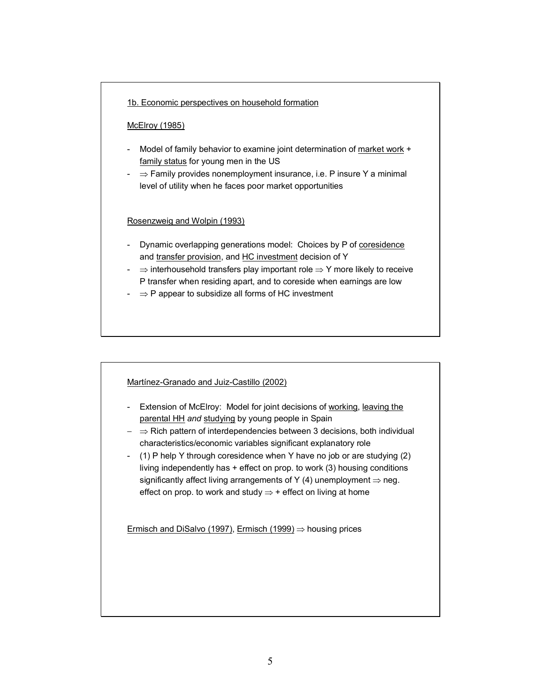## 1b. Economic perspectives on household formation

#### McElroy (1985)

- Model of family behavior to examine joint determination of market work + family status for young men in the US
- ⇒ Family provides nonemployment insurance, i.e. P insure Y a minimal level of utility when he faces poor market opportunities

## Rosenzweig and Wolpin (1993)

- Dynamic overlapping generations model: Choices by P of coresidence and transfer provision, and HC investment decision of Y
- ⇒ interhousehold transfers play important role ⇒ Y more likely to receive P transfer when residing apart, and to coreside when earnings are low
- ⇒ P appear to subsidize all forms of HC investment

#### Martínez-Granado and Juiz-Castillo (2002)

- Extension of McElroy: Model for joint decisions of working, leaving the parental HH *and* studying by young people in Spain
- − ⇒ Rich pattern of interdependencies between 3 decisions, both individual characteristics/economic variables significant explanatory role
- (1) P help Y through coresidence when Y have no job or are studying (2) living independently has  $+$  effect on prop. to work (3) housing conditions significantly affect living arrangements of Y (4) unemployment  $\Rightarrow$  neg. effect on prop. to work and study  $\Rightarrow$  + effect on living at home

Ermisch and DiSalvo (1997), Ermisch (1999)  $\Rightarrow$  housing prices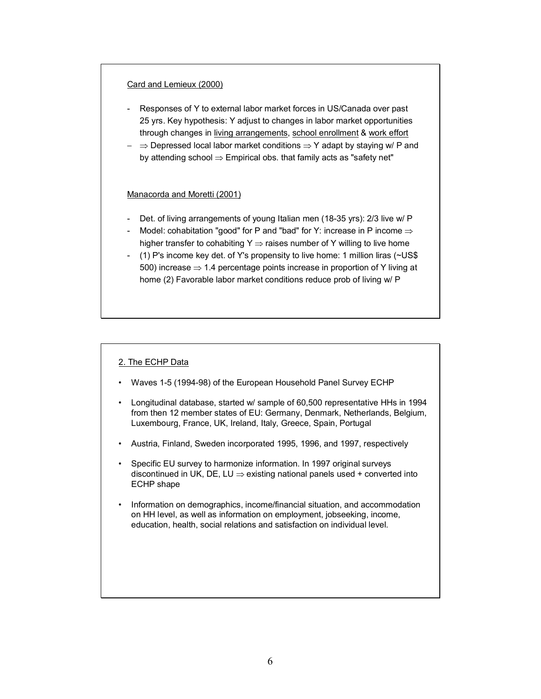#### Card and Lemieux (2000)

- Responses of Y to external labor market forces in US/Canada over past 25 yrs. Key hypothesis: Y adjust to changes in labor market opportunities through changes in living arrangements, school enrollment & work effort
- − ⇒ Depressed local labor market conditions ⇒ Y adapt by staying w/ P and by attending school  $\Rightarrow$  Empirical obs. that family acts as "safety net"

#### Manacorda and Moretti (2001)

- Det. of living arrangements of young Italian men (18-35 yrs): 2/3 live w/ P
- Model: cohabitation "good" for P and "bad" for Y: increase in P income ⇒ higher transfer to cohabiting Y  $\Rightarrow$  raises number of Y willing to live home
- (1) P's income key det. of Y's propensity to live home: 1 million liras (~US\$ 500) increase  $\Rightarrow$  1.4 percentage points increase in proportion of Y living at home (2) Favorable labor market conditions reduce prob of living w/ P

#### 2. The ECHP Data

- Waves 1-5 (1994-98) of the European Household Panel Survey ECHP
- Longitudinal database, started w/ sample of 60,500 representative HHs in 1994 from then 12 member states of EU: Germany, Denmark, Netherlands, Belgium, Luxembourg, France, UK, Ireland, Italy, Greece, Spain, Portugal
- Austria, Finland, Sweden incorporated 1995, 1996, and 1997, respectively
- Specific EU survey to harmonize information. In 1997 original surveys discontinued in UK, DE, LU  $\Rightarrow$  existing national panels used + converted into ECHP shape
- Information on demographics, income/financial situation, and accommodation on HH level, as well as information on employment, jobseeking, income, education, health, social relations and satisfaction on individual level.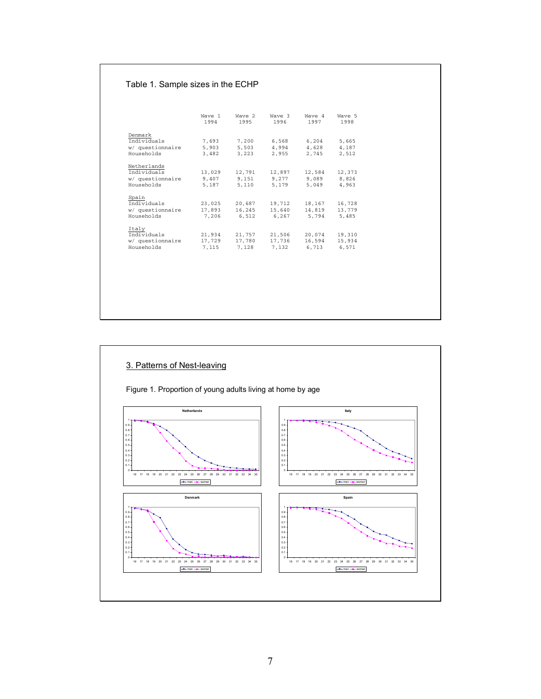## Table 1. Sample sizes in the ECHP

|                                | Wave 1<br>1994 | Wave 2<br>1995 | Wave 3<br>1996 | Wave 4<br>1997 | Wave 5<br>1998 |
|--------------------------------|----------------|----------------|----------------|----------------|----------------|
| Denmark                        |                |                |                |                |                |
| Individuals                    | 7,693          | 7,200          | 6,568          | 6,204          | 5,665          |
| w/ questionnaire<br>Households | 5,903<br>3,482 | 5,503<br>3,223 | 4,994<br>2,955 | 4,628<br>2,745 | 4.187<br>2.512 |
|                                |                |                |                |                |                |
| Netherlands                    |                |                |                |                |                |
| Individuals                    | 13,029         | 12,791         | 12,897         | 12,584         | 12,373         |
| w/ questionnaire               | 9,407          | 9.151          | 9.277          | 9,089          | 8.826          |
| Households                     | 5,187          | 5,110          | 5,179          | 5,049          | 4.963          |
| Spain                          |                |                |                |                |                |
| Individuals                    | 23,025         | 20,687         | 19,712         | 18,167         | 16,728         |
| w/ questionnaire               | 17,893         | 16,245         | 15,640         | 14,819         | 13,779         |
| Households                     | 7,206          | 6,512          | 6.267          | 5.794          | 5.485          |
|                                |                |                |                |                |                |
| Italy<br>Individuals           | 21,934         | 21,757         | 21,506         | 20.074         | 19,310         |
| w/ questionnaire               | 17,729         | 17,780         | 17,736         | 16,594         | 15,934         |
| Households                     | 7.115          | 7.128          | 7.132          | 6.713          | 6.571          |

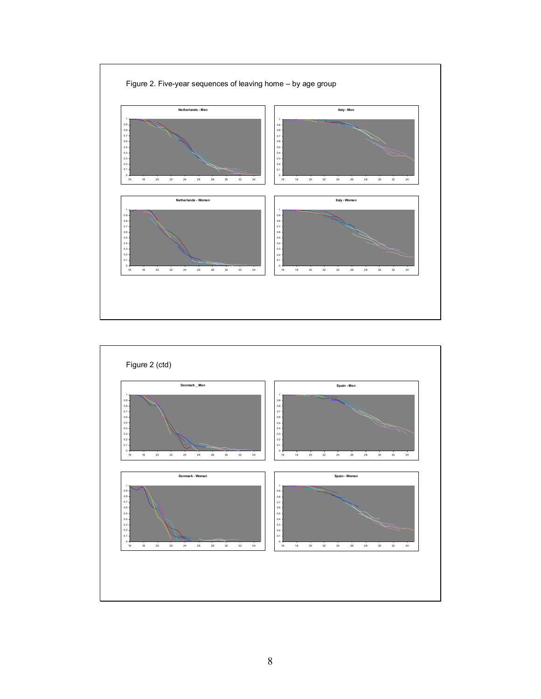

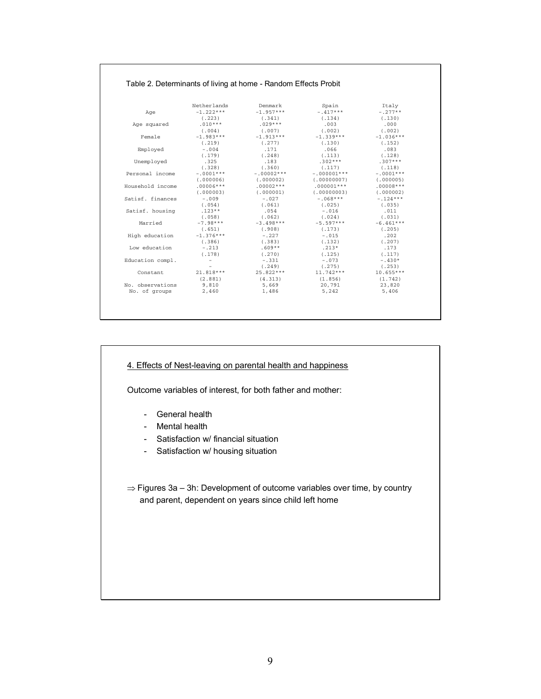| Table 2. Determinants of living at home - Random Effects Probit |  |
|-----------------------------------------------------------------|--|
|-----------------------------------------------------------------|--|

|                  | Netherlands              | Denmark      | Spain         | Italy       |
|------------------|--------------------------|--------------|---------------|-------------|
| Age              | $-1.222***$              | $-1.957***$  | $-.417***$    | $-.277**$   |
|                  | (.223)                   | (.341)       | (.134)        | (.130)      |
| Age squared      | $.010***$                | $.029***$    | .003          | .000        |
|                  | (0.004)                  | (0.007)      | (.002)        | (.002)      |
| Female           | $-1.983***$              | $-1.913***$  | $-1.339***$   | $-1.036***$ |
|                  | (.219)                   | (.277)       | (.130)        | (.152)      |
| Employed         | $-0.004$                 | .171         | .066          | .083        |
|                  | (.179)                   | (.248)       | (.113)        | (.128)      |
| Unemployed       | .325                     | .183         | $.302***$     | $.307***$   |
|                  | (.328)                   | (.360)       | (.117)        | (118)       |
| Personal income  | $-.0001***$              | $-.00002***$ | $-.000001***$ | $-.0001***$ |
|                  | (0.000006)               | (0.000002)   | (0.00000007)  | (0.000005)  |
| Household income | $.00006***$              | $.00002***$  | $.000001***$  | $.00008***$ |
|                  | (0.000003)               | (0.000001)   | (0.00000003)  | (0.000002)  |
| Satisf, finances | $-009$                   | $-0.027$     | $-.068***$    | $-.124***$  |
|                  | (.054)                   | (.061)       | (.025)        | (.035)      |
| Satisf. housing  | $.123**$                 | .054         | $-0.016$      | .011        |
|                  | (.058)                   | (0.062)      | (0.024)       | (.031)      |
| Married          | $-7.98***$               | $-3.498***$  | $-5.597***$   | $-6.461***$ |
|                  | (.651)                   | (.908)       | (.173)        | (.205)      |
| High education   | $-1.376***$              | $-.227$      | $-0.015$      | .202        |
|                  | (0.386)                  | (.383)       | (.132)        | (.207)      |
| Low education    | $-.213$                  | $.609**$     | $.213*$       | .173        |
|                  | (.178)                   | (.270)       | (.125)        | (.117)      |
| Education compl. | $\qquad \qquad -$        | $-.331$      | $-0.73$       | $-.430*$    |
|                  | $\overline{\phantom{a}}$ | (.249)       | (.275)        | (.253)      |
| Constant         | 21.818 ***               | 25.822***    | $11.742***$   | $10.655***$ |
|                  | (2.881)                  | (4.313)      | (1.856)       | (1.742)     |
| No. observations | 9,810                    | 5,669        | 20,791        | 23,820      |
| No. of groups    | 2,460                    | 1,486        | 5,242         | 5,406       |

## 4. Effects of Nest-leaving on parental health and happiness

Outcome variables of interest, for both father and mother:

- General health
- Mental health
- Satisfaction w/ financial situation
- Satisfaction w/ housing situation
- ⇒ Figures 3a 3h: Development of outcome variables over time, by country and parent, dependent on years since child left home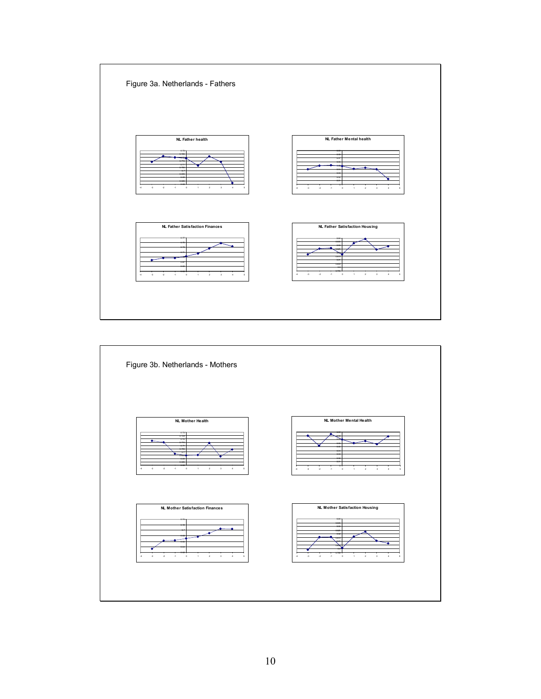

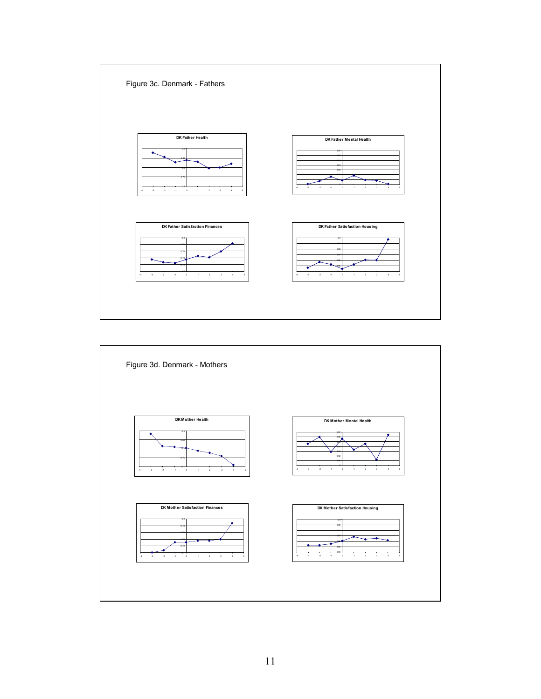

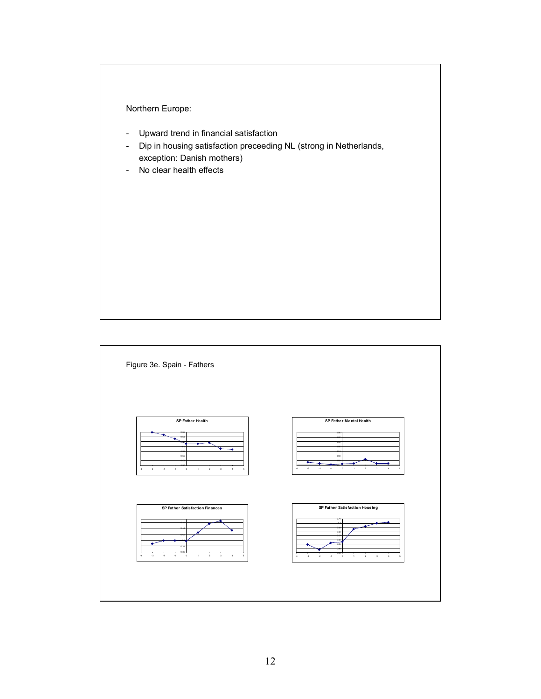

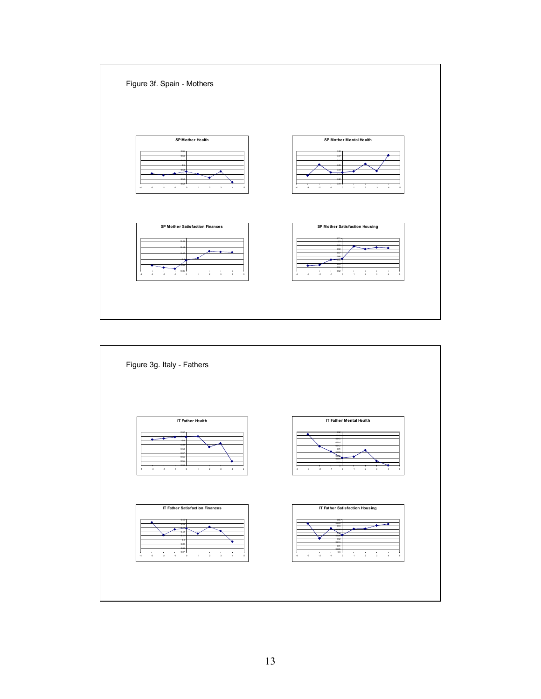

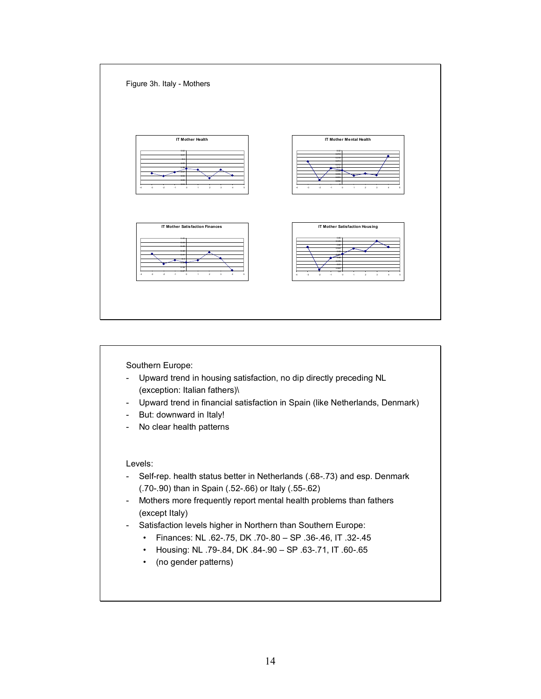

Southern Europe:

- Upward trend in housing satisfaction, no dip directly preceding NL (exception: Italian fathers)\
- Upward trend in financial satisfaction in Spain (like Netherlands, Denmark)
- But: downward in Italy!
- No clear health patterns

Levels:

- Self-rep. health status better in Netherlands (.68-.73) and esp. Denmark (.70-.90) than in Spain (.52-.66) or Italy (.55-.62)
- Mothers more frequently report mental health problems than fathers (except Italy)
- Satisfaction levels higher in Northern than Southern Europe:
	- Finances: NL .62-.75, DK .70-.80 SP .36-.46, IT .32-.45
		- Housing: NL .79-.84, DK .84-.90 SP .63-.71, IT .60-.65
	- (no gender patterns)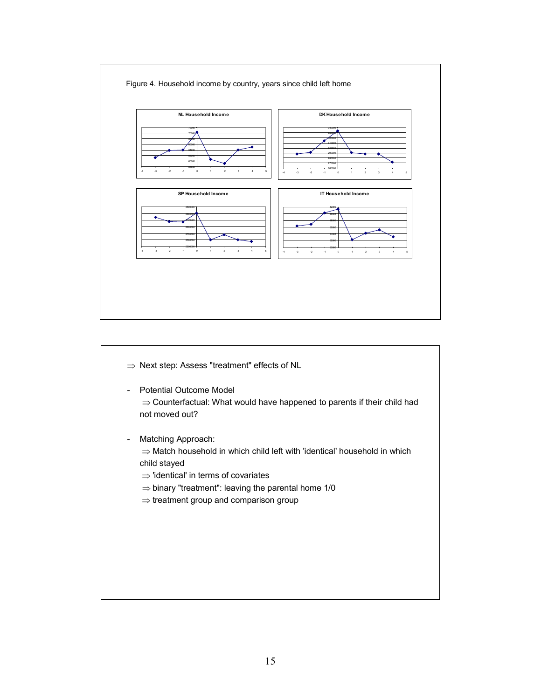

- ⇒ Next step: Assess "treatment" effects of NL
- Potential Outcome Model ⇒ Counterfactual: What would have happened to parents if their child had not moved out?
- Matching Approach: ⇒ Match household in which child left with 'identical' household in which child stayed
	- ⇒ 'identical' in terms of covariates
	- $\Rightarrow$  binary "treatment": leaving the parental home 1/0
	- ⇒ treatment group and comparison group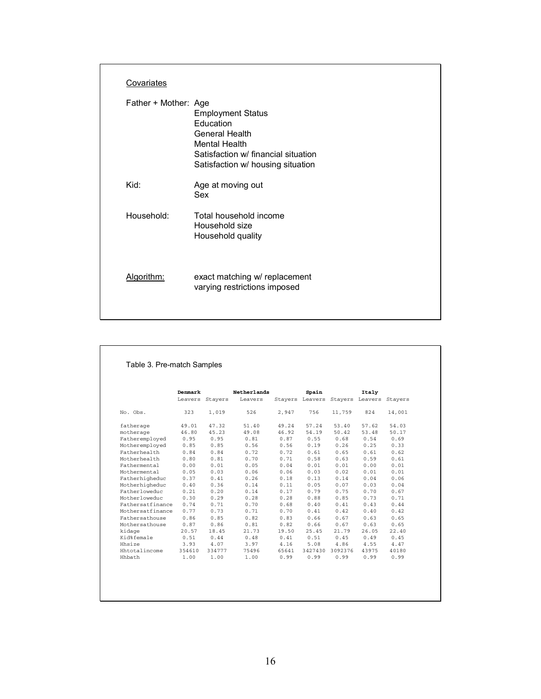| Covariates           |                                                                                                                                                                    |
|----------------------|--------------------------------------------------------------------------------------------------------------------------------------------------------------------|
| Father + Mother: Age | <b>Employment Status</b><br><b>Education</b><br>General Health<br><b>Mental Health</b><br>Satisfaction w/ financial situation<br>Satisfaction w/ housing situation |
| Kid:                 | Age at moving out<br>Sex                                                                                                                                           |
| Household:           | Total household income<br>Household size<br>Household quality                                                                                                      |
| Algorithm:           | exact matching w/ replacement<br>varying restrictions imposed                                                                                                      |

|                  | Denmark |         | <b>Netherlands</b> |       | Spain           |         | Italy                   |        |
|------------------|---------|---------|--------------------|-------|-----------------|---------|-------------------------|--------|
|                  | Leavers | Stayers | Leavers            |       | Stayers Leavers |         | Stayers Leavers Stayers |        |
| No. Obs.         | 323     | 1,019   | 526                | 2,947 | 756             | 11,759  | 824                     | 14,001 |
| fatherage        | 49.01   | 47.32   | 51.40              | 49.24 | 57.24           | 53.40   | 57.62                   | 54.03  |
| motherage        | 46.80   | 45.23   | 49.08              | 46.92 | 54.19           | 50.42   | 53.48                   | 50.17  |
| Fatheremployed   | 0.95    | 0.95    | 0.81               | 0.87  | 0.55            | 0.68    | 0.54                    | 0.69   |
| Motheremploved   | 0.85    | 0.85    | 0.56               | 0.56  | 0.19            | 0.26    | 0.25                    | 0.33   |
| Fatherhealth     | 0.84    | 0.84    | 0.72               | 0.72  | 0.61            | 0.65    | 0.61                    | 0.62   |
| Motherhealth     | 0.80    | 0.81    | 0.70               | 0.71  | 0.58            | 0.63    | 0.59                    | 0.61   |
| Fathermental     | 0.00    | 0.01    | 0.05               | 0.04  | 0.01            | 0.01    | 0.00                    | 0.01   |
| Mothermental     | 0.05    | 0.03    | 0.06               | 0.06  | 0.03            | 0.02    | 0.01                    | 0.01   |
| Fatherhigheduc   | 0.37    | 0.41    | 0.26               | 0.18  | 0.13            | 0.14    | 0.04                    | 0.06   |
| Motherhigheduc   | 0.40    | 0.36    | 0.14               | 0.11  | 0.05            | 0.07    | 0.03                    | 0.04   |
| Fatherloweduc    | 0.21    | 0.20    | 0.14               | 0.17  | 0.79            | 0.75    | 0.70                    | 0.67   |
| Motherloweduc    | 0.30    | 0.29    | 0.28               | 0.28  | 0.88            | 0.85    | 0.73                    | 0.71   |
| Fathersatfinance | 0.74    | 0.71    | 0.70               | 0.68  | 0.40            | 0.41    | 0.43                    | 0.44   |
| Mothersatfinance | 0.77    | 0.73    | 0.71               | 0.70  | 0.41            | 0.42    | 0.40                    | 0.42   |
| Fathersathouse   | 0.86    | 0.85    | 0.82               | 0.83  | 0.66            | 0.67    | 0.63                    | 0.65   |
| Mothersathouse   | 0.87    | 0.86    | 0.81               | 0.82  | 0.66            | 0.67    | 0.63                    | 0.65   |
| kidage           | 20.57   | 18.45   | 21.73              | 19.50 | 25.45           | 21.79   | 26.05                   | 22.40  |
| Kid%female       | 0.51    | 0.44    | 0.48               | 0.41  | 0.51            | 0.45    | 0.49                    | 0.45   |
| Hhsize           | 3.93    | 4.07    | 3.97               | 4.16  | 5.08            | 4.86    | 4.55                    | 4.47   |
| Hhtotalincome    | 354610  | 334777  | 75496              | 65641 | 3427430         | 3092376 | 43975                   | 40180  |
| Hhbath           | 1.00    | 1.00    | 1.00               | 0.99  | 0.99            | 0.99    | 0.99                    | 0.99   |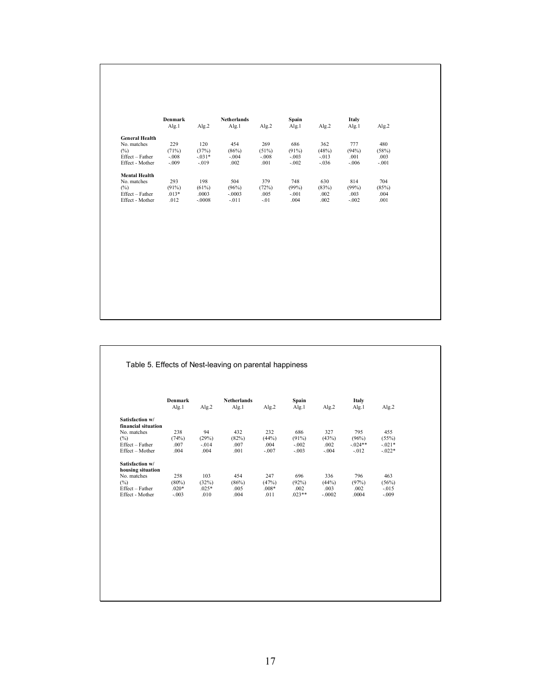|                       | Denmark |          | <b>Netherlands</b> |         | Spain   |         | Italy   |         |
|-----------------------|---------|----------|--------------------|---------|---------|---------|---------|---------|
|                       | Alg.1   | Alg.2    | Alg.1              | Alg.2   | Alg.1   | Alg.2   | Alg.1   | Alg.2   |
| <b>General Health</b> |         |          |                    |         |         |         |         |         |
| No. matches           | 229     | 120      | 454                | 269     | 686     | 362     | 777     | 480     |
| $(\%)$                | (71%)   | (37%)    | (86%)              | (51%)   | (91%)   | (48%)   | (94%)   | (58%)   |
| Effect - Father       | $-.008$ | $-0.31*$ | $-.004$            | $-.008$ | $-.003$ | $-.013$ | .001    | .003    |
| Effect - Mother       | $-.009$ | $-.019$  | .002               | .001    | $-.002$ | $-.036$ | $-.006$ | $-.001$ |
| <b>Mental Health</b>  |         |          |                    |         |         |         |         |         |
| No. matches           | 293     | 198      | 504                | 379     | 748     | 630     | 814     | 704     |
| $(\%)$                | (91%)   | (61%)    | (96%)              | (72%)   | (99%)   | (83%)   | (99%)   | (85%)   |
| Effect - Father       | $.013*$ | .0003    | $-.0003$           | .005    | $-.001$ | .002    | .003    | .004    |
| Effect - Mother       | .012    | $-.0008$ | $-.011$            | $-.01$  | .004    | .002    | $-.002$ | .001    |

|                     | <b>Denmark</b><br>Alg.1 | Alg.2    | <b>Netherlands</b><br>Alg.1 | Alg.2   | Spain<br>Alg.1 | Alg.2    | Italy<br>Alg.1 | Alg.2    |
|---------------------|-------------------------|----------|-----------------------------|---------|----------------|----------|----------------|----------|
| Satisfaction w/     |                         |          |                             |         |                |          |                |          |
| financial situation |                         |          |                             |         |                |          |                |          |
| No. matches         | 238                     | 94       | 432                         | 232     | 686            | 327      | 795            | 455      |
| (%)                 | (74%)                   | (29%)    | (82%)                       | (44%)   | (91%)          | (43%)    | (96%)          | (55%)    |
| Effect - Father     | .007                    | $-0.014$ | .007                        | .004    | $-.002$        | .002     | $-024**$       | $-021*$  |
| Effect - Mother     | .004                    | .004     | .001                        | $-.007$ | $-.003$        | $-.004$  | $-.012$        | $-.022*$ |
| Satisfaction w/     |                         |          |                             |         |                |          |                |          |
| housing situation   |                         |          |                             |         |                |          |                |          |
| No. matches         | 258                     | 103      | 454                         | 247     | 696            | 336      | 796            | 463      |
| (%)                 | $(80\%)$                | (32%)    | (86%)                       | (47%)   | (92%)          | (44%)    | (97%)          | (56%)    |
| Effect - Father     | $.020*$                 | $.025*$  | .005                        | $.008*$ | .002           | .003     | .002           | $-0.015$ |
| Effect - Mother     | $-.003$                 | .010     | .004                        | .011    | $.023**$       | $-.0002$ | .0004          | $-.009$  |
|                     |                         |          |                             |         |                |          |                |          |
|                     |                         |          |                             |         |                |          |                |          |
|                     |                         |          |                             |         |                |          |                |          |
|                     |                         |          |                             |         |                |          |                |          |
|                     |                         |          |                             |         |                |          |                |          |
|                     |                         |          |                             |         |                |          |                |          |
|                     |                         |          |                             |         |                |          |                |          |
|                     |                         |          |                             |         |                |          |                |          |
|                     |                         |          |                             |         |                |          |                |          |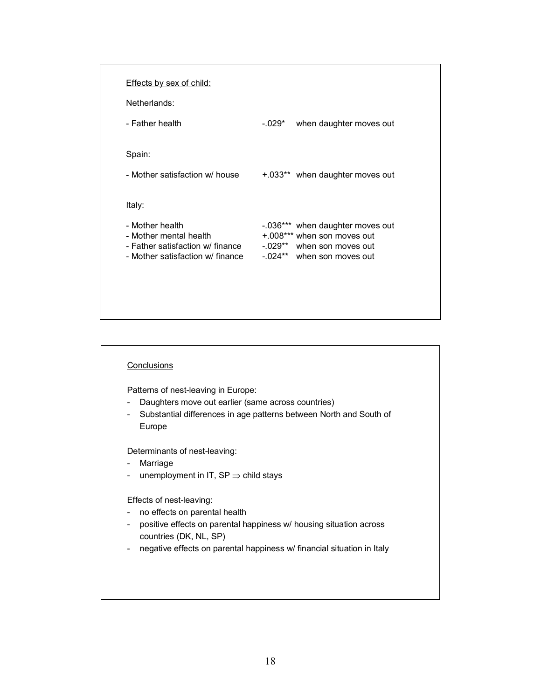| <b>Effects by sex of child:</b>                                      |                                                          |
|----------------------------------------------------------------------|----------------------------------------------------------|
| Netherlands:                                                         |                                                          |
| - Father health                                                      | $-.029*$<br>when daughter moves out                      |
|                                                                      |                                                          |
| Spain:                                                               |                                                          |
| - Mother satisfaction w/ house                                       | +.033** when daughter moves out                          |
|                                                                      |                                                          |
| Italy:                                                               |                                                          |
| - Mother health                                                      | -.036*** when daughter moves out                         |
| - Mother mental health                                               | +.008*** when son moves out                              |
| - Father satisfaction w/ finance<br>- Mother satisfaction w/ finance | -.029** when son moves out<br>-.024** when son moves out |

#### **Conclusions**

Patterns of nest-leaving in Europe:

- Daughters move out earlier (same across countries)
- Substantial differences in age patterns between North and South of Europe

Determinants of nest-leaving:

- Marriage
- unemployment in IT,  $SP \Rightarrow$  child stays

Effects of nest-leaving:

- no effects on parental health
- positive effects on parental happiness w/ housing situation across countries (DK, NL, SP)
- negative effects on parental happiness w/ financial situation in Italy